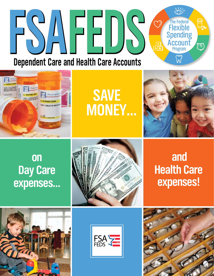#### $\sum_{n=1}^{\infty}$ **FIEXIBLE Spending Spending Spending Spending Spending Spending Spending Spending Spending Spending Spending Spending Spending Spending Spending Spending Spending Spending Spending Spending Spending Spending Spending Spend** J. **Flexible** Spending **Account** <u>್ಷ್</u> Program **Dependent Care and Health Care Accounts**



**save money…**



## **on Day Care expenses…**







## **and Health Care expenses!**

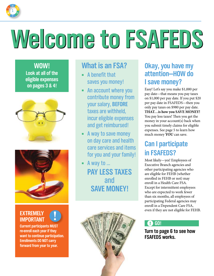

## **Welcome Welcome to FSAFEDS to FSAFEDS**

**WOW! Look at all of the eligible expenses on pages 3 & 4!**





#### **EXTREMELY IMPORTANT**

**Current participants MUST re-enroll each year if they want to continue participation. Enrollments DO NOT carry forward from year to year. !**

## **What is an FSA?**

- $\blacksquare$  A benefit that saves you money!
- � An account where you contribute money from your salary, **BEFORE** taxes are withheld, incur eligible expenses and get reimbursed!
- **E** A way to save money on day care and health care services and items for you and your family!
- $\blacksquare$  A way to ... **PAY LESS TAXES** and **SAVE MONEY!**



## **Okay, you have my attention—HOW do I save money?**

Easy! Let's say you make \$1,000 per pay date—that means you pay taxes on \$1,000 per pay date. If you put \$20 per pay date in FSAFEDS—then you only pay taxes on \$980 per pay date. **THAT…is how you SAVE MONEY!** You pay less taxes! Then you get the money in your account(s) back when you submit timely claims for eligible expenses. See page 5 to learn how much money **YOU** can save.

## **Can I participate in FSAFEDS?**

Most likely—yes! Employees of Executive Branch agencies and other participating agencies who are eligible for FEHB (whether enrolled in FEHB or not) may enroll in a Health Care FSA. Except for intermittent employees who are expected to work fewer than six months, all employees of participating Federal agencies may enroll in a Dependent Care FSA, even if they are not eligible for FEHB.

#### ! **GO!**

**Turn to page 6 to see how FSAFEDS works.**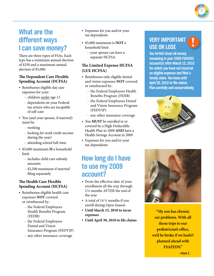## **What are the different ways I can save money?**

There are three types of FSAs. Each type has a minimum annual election of \$250 and a maximum annual election of \$5,000.

#### **The Dependent Care Flexible Spending Account (DCFSA)**

- Reimburses eligible day care expenses for your:
	- children under age 13
	- dependents on your Federal tax return who are incapable of self-care
- You (and your spouse, if married) must be:
	- working
	- looking for work (with income during the year)
	- attending school full-time
- \$5,000 maximum **IS** a household limit
	- includes child care subsidy amounts
	- \$2,500 maximum if married filing separately

#### **The Health Care Flexible Spending Account (HCFSA)**

- Reimburses eligible health care expenses **not** covered or reimbursed by:
	- the Federal Employees Health Benefits Program (FEHB)
	- the Federal Employees Dental and Vision Insurance Program (FEDVIP)
	- any other insurance coverage
- Expenses for you and/or your tax dependents
- \$5,000 maximum is **NOT** a household limit
	- your spouse can have a separate HCFSA

#### **The Limited Expense HCFSA (LEX HCFSA)**

- Reimburses only eligible dental and vision expenses **not** covered or reimbursed by:
	- the Federal Employees Health Benefits Program (FEHB)
	- the Federal Employees Dental and Vision Insurance Program (FEDVIP)
	- any other insurance coverage
- You **MUST** be enrolled in or covered by a High Deductible Health Plan in 2009 **AND** have a Health Savings Account in 2009
- Expenses for you and/or your tax dependents

## **How long do I have to use my 2009 account?**

- From the effective date of your enrollment all the way through 2½ months AFTER the end of the year
- A total of 14  $\frac{1}{2}$  months if you enroll during Open Season
- **Until March 15, 2010 to incur expenses**
- **Until April 30, 2010 to file claims**

#### **VERY IMPORTANT USE OR LOSE**

**!**

2

**You forfeit (lose) all money remaining in your 2009 FSAFEDS account(s) after March 15, 2010 for which you have not incurred an eligible expense and filed a timely claim. You have until April 30, 2010 to file claims. Plan carefully and conservatively.**





**"My son has chronic ear problems. With all those trips to our pediatrician's office, we'd be broke if we hadn't planned ahead with FSAFEDS."**

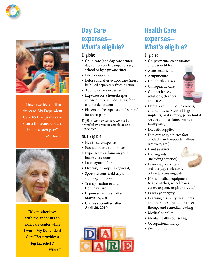

3

**"I have two kids still in day care. My Dependent Care FSA helps me save over a thousand dollars in taxes each year." –Michael K.**



**"My mother lives with me and visits an eldercare center while I work. My Dependent Care FSA provides a big tax relief ." –Wilma T.**

## **Day Care expenses— What's eligible?**

#### **Eligible:**

- Child care (at a day care center, day camp, sports camp, nursery school or by a private sitter)
- Late pick-up fees
- Before and after-school care (must be billed separately from tuition)
- Adult day care expenses
- Expenses for a housekeeper whose duties include caring for an eligible dependent
- Placement fee expenses and stipend for an au pair

*Eligible day care services cannot be provided by a person you claim as a dependent.*

#### **NOT Eligible:**

- Health care expenses
- Education and tuition fees
- Expenses you claim on your income tax return
- Late payment fees
- Overnight camps (in general)
- Sports lessons, field trips, clothing, uniforms
- Transportation to and from day care
- • **Expenses incurred after March 15, 2010**
- • **Claims submitted after April 30, 2010**



## **Health Care expenses— What's eligible?**

#### **Eligible:**

- Co-payments, co-insurance and deductibles
- Acne treatments
- Acupuncture
- Childbirth classes
- Chiropractic care
- Contact lenses, solutions, cleaners and cases



- Dental care (including crowns, endodontic services, fillings, implants, oral surgery, periodontal services and sealants, but not toothpaste)
- Diabetic supplies
- Foot care (e.g., athlete's foot products, arch supports, callous removers, etc.)
- Hand sanitizer
- Hearing aids (including batteries)



- Home diagnostic tests and kits (e.g., cholesterol, colorectal screenings, etc.)
- Home medical equipment (e.g., crutches, wheelchairs, canes, oxygen, respirators, etc.)\*
- Laser eye surgery
- Learning disability treatments and therapies (including speech therapy and remedial reading)\*
- Medical supplies
- Mental health counseling
- Occupational therapy
- Orthodontia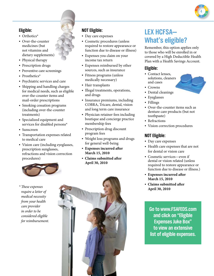

#### **Eligible:**

- Orthotics\*
- Over-the-counter medicines (but not vitamins and dietary supplements)
- Physical therapy
- Prescription drugs
- Preventive care screenings
- Prosthetics\*
- Psychiatric services and care
- Shipping and handling charges for medical needs, such as eligible over-the-counter items and mail-order prescriptions
- Smoking cessation programs (including over-the-counter treatments)
- Specialized equipment and services for disabled persons\*
- Sunscreen
- Transportation expenses related to medical care
- Vision care (including eyeglasses, prescription sunglasses, refractions and vision correction procedures)



#### *\* These expenses require a letter of medical necessity from your health care provider in order to be considered eligible for reimbursement.*

#### **NOT Eligible:**

- Day care expenses
- Cosmetic procedures (unless required to restore appearance or function due to disease or illness)
- Expenses you claim on your income tax return
- Expenses reimbursed by other sources, such as insurance
- Fitness programs (unless medically necessary)
- Hair transplants
- Illegal treatments, operations, and drugs
- Insurance premiums, including COBRA, Tricare, dental, vision and long term care insurance
- Physician retainer fees including boutique and concierge practice membership fees
- Prescription drug discount program fees
- Weight loss programs and drugs for general well-being
- **Expenses incurred after March 15, 2010**
- • **Claims submitted after April 30, 2010**

## **LEX HCFSA— What's eligible?**

Remember, this option applies only to those who will be enrolled in or covered by a High Deductible Health Plan with a Health Savings Account.

#### **Eligible:**

- Contact lenses, solutions, cleaners and cases
- Crowns
- Dental cleanings
- Eyeglasses
- Fillings
- Over-the-counter items such as denture care products (but not toothpaste)
- Refractions
- Vision correction procedures

#### **NOT Eligible:**

- Day care expenses
- Health care expenses that are not for dental or vision care
- Cosmetic services—even if dental or vision related (unless required to restore appearance or function due to disease or illness.)
- **Expenses incurred after March 15, 2010**
- • **Claims submitted after April 30, 2010**

**Go to www.FSAFEDS.com and click on "Eligible Expenses Juke Box" to view an extensive list of eligible expenses.**

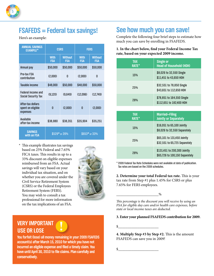

## **FSAFEDS = Federal tax savings!**

Here's an example:

| <b>ANNUAL SAVINGS</b><br><b>EXAMPLE*</b>           | <b>CSRS</b>               |                       | <b>FERS</b>               |                              |
|----------------------------------------------------|---------------------------|-----------------------|---------------------------|------------------------------|
|                                                    | <b>With</b><br><b>FSA</b> | <b>Without</b><br>FSA | <b>With</b><br><b>FSA</b> | <b>Without</b><br><b>FSA</b> |
| Annual pay                                         | \$50,000                  | \$50,000              | \$50,000                  | \$50,000                     |
| Pre-tax FSA<br>contribution                        | (2,000)                   | 0                     | (2,000)                   | 0                            |
| Taxable income                                     | \$48,000                  | \$50,000              | \$48,000                  | \$50,000                     |
| Federal income and<br><b>Social Security Tax</b>   | (9,120)                   | (9,649)               | (12,096)                  | (12,749)                     |
| After-tax dollars<br>spent on eligible<br>expenses | n                         | (2,000)               | $\mathbf{0}$              | (2,000)                      |
| Available<br>after-tax income                      | \$38,880                  | \$38,351              | \$35,904                  | \$35,251                     |
| <b>SAVINGS</b><br>with an FSA                      | \$529* or 26%             |                       | $$653*$ or 33%            |                              |

\* This example illustrates tax savings based on 25% Federal and 7.65% FICA taxes. This results in up to a 33% discount on eligible expenses reimbursed from an FSA. Actual savings will vary based on your individual tax situation, and on whether you are covered under the Civil Service Retirement System (CSRS) or the Federal Employees Retirement System (FERS). You may wish to consult a tax professional for more information on the tax implications of an FSA.



#### **VERY IMPORTANT USE OR LOSE**

**You forfeit (lose) all money remaining in your 2009 FSAFEDS account(s) after March 15, 2010 for which you have not incurred an eligible expense and filed a timely claim. You have until April 30, 2010 to file claims. Plan carefully and conservatively.**

**!**

## **See how much you can save!**

Complete the following four brief steps to estimate how much you can save by enrolling in FSAFEDS.

#### **1. In the chart below, find your Federal Income Tax rate, based on your expected 2009 income.**

| <b>TAX</b><br><b>RATE*</b> | <b>Single or</b><br><b>Head of Household (HOH)</b>             |  |
|----------------------------|----------------------------------------------------------------|--|
| <b>15%</b>                 | \$8,026 to 32,550 Single<br>\$11,451 to 43,650 HOH             |  |
| <b>25%</b>                 | \$32,551 to 78,850 Single<br>\$43,651 to 112,650 HOH           |  |
| 28%                        | \$78,851 to 164,550 Single<br>\$112,651 to 182,400 HOH         |  |
|                            |                                                                |  |
| <b>TAX</b><br><b>RATE*</b> | <b>Married-Filing</b><br><b>Jointly or Separately</b>          |  |
| <b>15%</b>                 | \$16,051 to 65,100 Jointly<br>\$8,026 to 32,550 Separately     |  |
| 25%                        | \$65,101 to 131,450 Jointly<br>\$32,551 to 65,725 Separately   |  |
| 28%                        | \$131,451 to 200,300 Jointly<br>\$65,726 to 100,150 Separately |  |

\* 2009 Federal Tax Rate Schedules were not available at date of publication. Tax rates are based on the 2008 schedules.

**2. Determine your total Federal tax rate.** This is your tax rate from Step #1 plus 1.45% for CSRS or plus 7.65% for FERS employees.

#### \_\_\_\_\_\_\_\_\_\_\_\_\_\_\_\_\_\_\_\_\_\_%

*This percentage is the discount you will receive by using an FSA for eligible day care and/or health care expenses, before state or local income taxes are deducted.*

#### **3. Enter your planned FSAFEDS contribution for 2009.**

 $\frac{\frac{1}{2}$ 

**4. Multiply Step #3 by Step #2.** This is the amount FSAFEDS can save you in 2009!

 $\frac{\frac{1}{2}$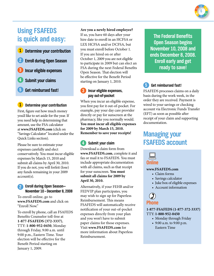## **Using FSAFEDS is quick and easy:**

- **1 Determine your contribution 2 Enroll during Open Season 3 Incur eligible expenses**
- **4 Submit your claims**
- **5 Get reimbursed fast!**

#### **1 Determine your contribution**

First, figure out how much money you'd like to set aside for the year. If you need help in determining that amount, use the FSA calculator at **www.FSAFEDS.com** (click on "Savings Calculator" located under the Quick Links section).

Please be sure to estimate your expenses carefully and elect conservatively. You must incur eligible expenses by March 15, 2010 and submit all claims by April 30, 2010. If you do not, you will forfeit (lose) any funds remaining in your 2009 account(s).

#### **2 Enroll during Open Season— November 10 – December 8, 2008**

To enroll online, go to **www.FSAFEDS.com** and click on "Enroll Now."

To enroll by phone, call an FSAFEDS Benefits Counselor toll-free at **1-877-FSAFEDS (372-3337)**, TTY: **1-800-952-0450**, Monday through Friday, 9:00 a.m. until 9:00 p.m., Eastern Time. Your election will be effective for the Benefit Period starting on January 1, 2009.

#### **Are you a newly hired employee?**

If so, you have 60 days after your hire date to enroll in an HCFSA or LEX HCFSA and/or DCFSA, but you must enroll before October 1. If you are hired on or after October 1, 2009 you are not eligible to participate in 2009 but can elect an FSA during the next Federal Benefits Open Season. That election will be effective for the Benefit Period starting on January 1, 2010.

#### **3 Incur eligible expenses, pay out-of-pocket**

When you incur an eligible expense, you first pay for it out-of-pocket. For example, pay your day care provider directly or pay for sunscreen at the pharmacy, like you normally would. **You must incur all eligible expenses for 2009 by March 15, 2010. Remember to save your receipts!**

#### **4 Submit your claim**

Download a claim form from **www.FSAFEDS.com**, complete it and fax or mail it to FSAFEDS. You must include appropriate documentation with all claims, such as that receipt for your sunscreen. **You must submit all claims for 2009 by April 30, 2010.**

Alternatively, if your FEHB and/or FEDVIP plan participates, you may wish to sign up for Paperless Reimbursement. This means FSAFEDS will automatically receive notification of your out-of-pocket expenses directly from your plan and you won't have to submit paper claims for those expenses. Visit **www.FSAFEDS.com** for more information about Paperless Reimbursement.

**The Federal Benefits Open Season begins November 10, 2008 and ends December 8, 2008. Enroll early and get ready to save!**

#### **5 Get reimbursed fast!**

FSAFEDS processes claims on a daily basis during the work week, in the order they are received. Payment is wired to your savings or checking account via Electronic Funds Transfer (EFT) as soon as possible after receipt of your claim and supporting documentation.

## **Managing your FSAFEDS account**



#### **www.FSAFEDS.com**

- Claim forms
- Savings calculator
- Juke box of eligible expenses
- Account information

#### **Phone**  $\circledD$

**1-877-FSAFEDS (1-877-372-3337)** TTY: **1-800-952-0450**

- Monday through Friday
- 9:00 a.m. to 9:00 p.m. Eastern Time